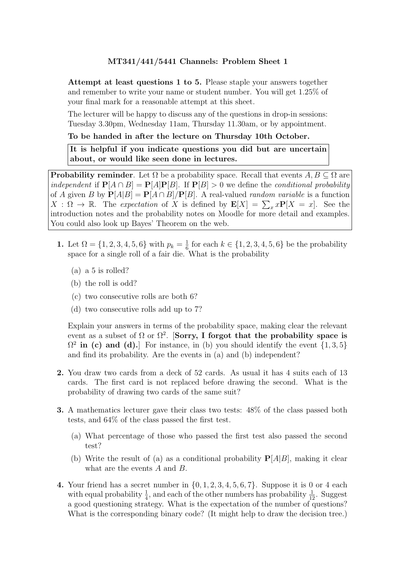Attempt at least questions 1 to 5. Please staple your answers together and remember to write your name or student number. You will get 1.25% of your final mark for a reasonable attempt at this sheet.

The lecturer will be happy to discuss any of the questions in drop-in sessions: Tuesday 3.30pm, Wednesday 11am, Thursday 11.30am, or by appointment.

#### To be handed in after the lecture on Thursday 10th October.

It is helpful if you indicate questions you did but are uncertain about, or would like seen done in lectures.

**Probability reminder**. Let  $\Omega$  be a probability space. Recall that events  $A, B \subseteq \Omega$  are independent if  $P[A \cap B] = P[A]P[B]$ . If  $P[B] > 0$  we define the conditional probability of A given B by  $P[A|B] = P[A \cap B]/P[B]$ . A real-valued *random variable* is a function  $X : \Omega \to \mathbb{R}$ . The expectation of X is defined by  $\mathbf{E}[X] = \sum_{x} x \mathbf{P}[X] = x$ . See the introduction notes and the probability notes on Moodle for more detail and examples. You could also look up Bayes' Theorem on the web.

- 1. Let  $\Omega = \{1, 2, 3, 4, 5, 6\}$  with  $p_k = \frac{1}{6}$  $\frac{1}{6}$  for each  $k \in \{1, 2, 3, 4, 5, 6\}$  be the probability space for a single roll of a fair die. What is the probability
	- (a) a 5 is rolled?
	- (b) the roll is odd?
	- (c) two consecutive rolls are both 6?
	- (d) two consecutive rolls add up to 7?

Explain your answers in terms of the probability space, making clear the relevant event as a subset of  $\Omega$  or  $\Omega^2$ . [Sorry, I forgot that the probability space is  $\Omega^2$  in (c) and (d).] For instance, in (b) you should identify the event  $\{1,3,5\}$ and find its probability. Are the events in (a) and (b) independent?

- 2. You draw two cards from a deck of 52 cards. As usual it has 4 suits each of 13 cards. The first card is not replaced before drawing the second. What is the probability of drawing two cards of the same suit?
- 3. A mathematics lecturer gave their class two tests: 48% of the class passed both tests, and 64% of the class passed the first test.
	- (a) What percentage of those who passed the first test also passed the second test?
	- (b) Write the result of (a) as a conditional probability  $P[A|B]$ , making it clear what are the events A and B.
- 4. Your friend has a secret number in  $\{0, 1, 2, 3, 4, 5, 6, 7\}$ . Suppose it is 0 or 4 each with equal probability  $\frac{1}{4}$ , and each of the other numbers has probability  $\frac{1}{12}$ . Suggest a good questioning strategy. What is the expectation of the number of questions? What is the corresponding binary code? (It might help to draw the decision tree.)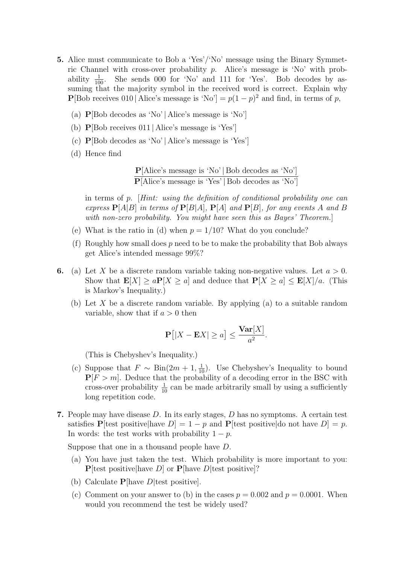- 5. Alice must communicate to Bob a 'Yes'/'No' message using the Binary Symmetric Channel with cross-over probability  $p$ . Alice's message is 'No' with probability  $\frac{1}{100}$ . She sends 000 for 'No' and 111 for 'Yes'. Bob decodes by assuming that the majority symbol in the received word is correct. Explain why **P**[Bob receives 010 | Alice's message is 'No'] =  $p(1-p)^2$  and find, in terms of p,
	- (a) P[Bob decodes as 'No' | Alice's message is 'No']
	- (b) P[Bob receives 011 | Alice's message is 'Yes']
	- (c) P[Bob decodes as 'No' | Alice's message is 'Yes']
	- (d) Hence find

$$
\frac{\textbf{P}[\text{Alice's message is 'No'} \mid \text{Bob decodes as 'No'}]}{\textbf{P}[\text{Alice's message is 'Yes'} \mid \text{Bob decodes as 'No'}]}
$$

in terms of p. [Hint: using the definition of conditional probability one can express  $P[A|B]$  in terms of  $P[B|A]$ ,  $P[A]$  and  $P[B]$ , for any events A and B with non-zero probability. You might have seen this as Bayes' Theorem.

- (e) What is the ratio in (d) when  $p = 1/10$ ? What do you conclude?
- (f) Roughly how small does  $p$  need to be to make the probability that Bob always get Alice's intended message 99%?
- 6. (a) Let X be a discrete random variable taking non-negative values. Let  $a > 0$ . Show that  $\mathbf{E}[X] \ge a \mathbf{P}[X \ge a]$  and deduce that  $\mathbf{P}[X \ge a] \le \mathbf{E}[X]/a$ . (This is Markov's Inequality.)
	- (b) Let  $X$  be a discrete random variable. By applying (a) to a suitable random variable, show that if  $a > 0$  then

$$
\mathbf{P}\big[|X - \mathbf{E}X| \ge a\big] \le \frac{\mathbf{Var}[X]}{a^2}.
$$

(This is Chebyshev's Inequality.)

- (c) Suppose that  $F \sim \text{Bin}(2m + 1, \frac{1}{10})$ . Use Chebyshev's Inequality to bound  $P[F > m]$ . Deduce that the probability of a decoding error in the BSC with cross-over probability  $\frac{1}{10}$  can be made arbitrarily small by using a sufficiently long repetition code.
- 7. People may have disease  $D$ . In its early stages,  $D$  has no symptoms. A certain test satisfies P[test positive|have  $D = 1 - p$  and P[test positive|do not have  $D = p$ . In words: the test works with probability  $1 - p$ .

Suppose that one in a thousand people have D.

- (a) You have just taken the test. Which probability is more important to you:  $P[test positive]$ have D] or  $P[have D]$ test positive]?
- (b) Calculate  $P$ [have *D*] test positive].
- (c) Comment on your answer to (b) in the cases  $p = 0.002$  and  $p = 0.0001$ . When would you recommend the test be widely used?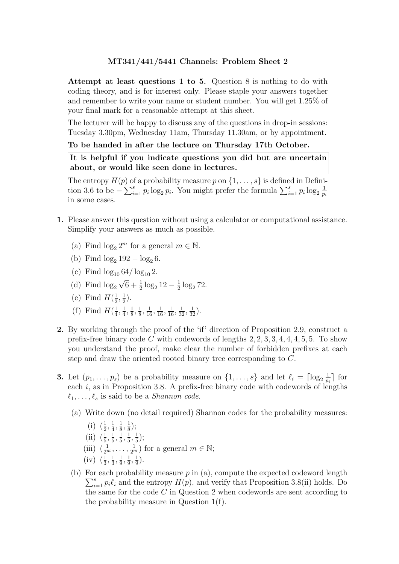Attempt at least questions 1 to 5. Question 8 is nothing to do with coding theory, and is for interest only. Please staple your answers together and remember to write your name or student number. You will get 1.25% of your final mark for a reasonable attempt at this sheet.

The lecturer will be happy to discuss any of the questions in drop-in sessions: Tuesday 3.30pm, Wednesday 11am, Thursday 11.30am, or by appointment.

### To be handed in after the lecture on Thursday 17th October.

It is helpful if you indicate questions you did but are uncertain about, or would like seen done in lectures.

The entropy  $H(p)$  of a probability measure p on  $\{1,\ldots,s\}$  is defined in Definition 3.6 to be  $-\sum_{i=1}^s p_i \log_2 p_i$ . You might prefer the formula  $\sum_{i=1}^s p_i \log_2 \frac{1}{p_i}$ pi in some cases.

- 1. Please answer this question without using a calculator or computational assistance. Simplify your answers as much as possible.
	- (a) Find  $\log_2 2^m$  for a general  $m \in \mathbb{N}$ .
	- (b) Find  $\log_2 192 \log_2 6$ .
	- (c) Find  $\log_{10} 64 / \log_{10} 2$ .
	- (d) Find  $\log_2 \sqrt{6} + \frac{1}{2} \log_2 12 \frac{1}{2}$  $\frac{1}{2} \log_2 72$ .
	- (e) Find  $H(\frac{1}{2})$  $\frac{1}{2}, \frac{1}{2}$  $(\frac{1}{2})$ .
	- (f) Find  $H(\frac{1}{4})$  $\frac{1}{4}, \frac{1}{4}$  $\frac{1}{4}, \frac{1}{8}$  $\frac{1}{8}, \frac{1}{8}$  $\frac{1}{8}, \frac{1}{16}, \frac{1}{16}, \frac{1}{16}, \frac{1}{32}, \frac{1}{32}$ ).
- 2. By working through the proof of the 'if' direction of Proposition 2.9, construct a prefix-free binary code C with codewords of lengths  $2, 2, 3, 3, 4, 4, 4, 5, 5$ . To show you understand the proof, make clear the number of forbidden prefixes at each step and draw the oriented rooted binary tree corresponding to C.
- **3.** Let  $(p_1, \ldots, p_s)$  be a probability measure on  $\{1, \ldots, s\}$  and let  $\ell_i = \lceil \log_2 \frac{1}{p} \rceil$  $\frac{1}{p_i}$  for each i, as in Proposition 3.8. A prefix-free binary code with codewords of lengths  $\ell_1, \ldots, \ell_s$  is said to be a *Shannon code*.
	- (a) Write down (no detail required) Shannon codes for the probability measures:
		- $(i)$   $\left(\frac{1}{2}\right)$  $\frac{1}{2}, \frac{1}{4}$  $\frac{1}{4}, \frac{1}{8}$  $\frac{1}{8}, \frac{1}{8}$  $(\frac{1}{8})$ ;
		- $\left( \text{ii} \right)$   $\left( \frac{1}{5} \right)$  $\frac{1}{5}, \frac{1}{5}$  $\frac{1}{5}, \frac{1}{5}$  $\frac{1}{5}, \frac{1}{5}$  $\frac{1}{5}, \frac{1}{5}$  $(\frac{1}{5});$
		- (iii)  $\left(\frac{1}{2^m},\ldots,\frac{1}{2^m}\right)$  for a general  $m \in \mathbb{N}$ ;
		- $(iv)$   $\left(\frac{1}{3}\right)$  $\frac{1}{3}, \frac{1}{3}$  $\frac{1}{3}, \frac{1}{9}$  $\frac{1}{9}, \frac{1}{9}$  $\frac{1}{9}, \frac{1}{9}$  $\frac{1}{9}$ .
	- (b) For each probability measure  $p$  in (a), compute the expected codeword length  $\sum_{i=1}^{s} p_i \ell_i$  and the entropy  $H(p)$ , and verify that Proposition 3.8(ii) holds. Do the same for the code  $C$  in Question 2 when codewords are sent according to the probability measure in Question 1(f).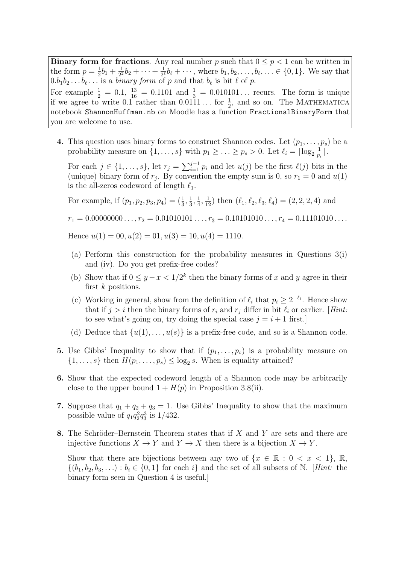**Binary form for fractions.** Any real number p such that  $0 \leq p < 1$  can be written in the form  $p=\frac{1}{2}$  $rac{1}{2}b_1 + \frac{1}{2^2}$  $\frac{1}{2^2}b_2+\cdots+\frac{1}{2^l}$  $\frac{1}{2^{\ell}}b_{\ell} + \cdots$ , where  $b_1, b_2, \ldots, b_{\ell}, \ldots \in \{0, 1\}$ . We say that  $0.b_1b_2 \ldots b_\ell \ldots$  is a *binary form* of p and that  $b_\ell$  is bit  $\ell$  of p. For example  $\frac{1}{2} = 0.1$ ,  $\frac{13}{16} = 0.1101$  and  $\frac{1}{3} = 0.010101...$  recurs. The form is unique if we agree to write  $0.\overline{1}$  rather than  $0.\overline{0111} \dots$  for  $\frac{1}{2}$ , and so on. The MATHEMATICA notebook ShannonHuffman.nb on Moodle has a function FractionalBinaryForm that you are welcome to use.

4. This question uses binary forms to construct Shannon codes. Let  $(p_1, \ldots, p_s)$  be a probability measure on  $\{1, \ldots, s\}$  with  $p_1 \geq \ldots \geq p_s > 0$ . Let  $\ell_i = \lceil \log_2 \frac{1}{p} \rceil$  $\frac{1}{p_i}$ .

For each  $j \in \{1, \ldots, s\}$ , let  $r_j = \sum_{i=1}^{j-1} p_i$  and let  $u(j)$  be the first  $\ell(j)$  bits in the (unique) binary form of  $r_j$ . By convention the empty sum is 0, so  $r_1 = 0$  and  $u(1)$ is the all-zeros codeword of length  $\ell_1$ .

For example, if  $(p_1, p_2, p_3, p_4) = (\frac{1}{3}, \frac{1}{3})$  $\frac{1}{3}, \frac{1}{4}$  $\frac{1}{4}, \frac{1}{12}$ ) then  $(\ell_1, \ell_2, \ell_3, \ell_4) = (2, 2, 2, 4)$  and

 $r_1 = 0.00000000 \ldots, r_2 = 0.01010101 \ldots, r_3 = 0.10101010 \ldots, r_4 = 0.11101010 \ldots$ 

Hence  $u(1) = 00, u(2) = 01, u(3) = 10, u(4) = 1110.$ 

- (a) Perform this construction for the probability measures in Questions 3(i) and (iv). Do you get prefix-free codes?
- (b) Show that if  $0 \leq y x < 1/2^k$  then the binary forms of x and y agree in their first  $k$  positions.
- (c) Working in general, show from the definition of  $\ell_i$  that  $p_i \geq 2^{-\ell_i}$ . Hence show that if  $j > i$  then the binary forms of  $r_i$  and  $r_j$  differ in bit  $\ell_i$  or earlier. [Hint: to see what's going on, try doing the special case  $j = i + 1$  first.
- (d) Deduce that  $\{u(1), \ldots, u(s)\}\$ is a prefix-free code, and so is a Shannon code.
- 5. Use Gibbs' Inequality to show that if  $(p_1, \ldots, p_s)$  is a probability measure on  $\{1, \ldots, s\}$  then  $H(p_1, \ldots, p_s) \le \log_2 s$ . When is equality attained?
- 6. Show that the expected codeword length of a Shannon code may be arbitrarily close to the upper bound  $1 + H(p)$  in Proposition 3.8(ii).
- 7. Suppose that  $q_1 + q_2 + q_3 = 1$ . Use Gibbs' Inequality to show that the maximum possible value of  $q_1 q_2^2 q_3^3$  is  $1/432$ .
- 8. The Schröder–Bernstein Theorem states that if  $X$  and  $Y$  are sets and there are injective functions  $X \to Y$  and  $Y \to X$  then there is a bijection  $X \to Y$ .

Show that there are bijections between any two of  $\{x \in \mathbb{R} : 0 \le x \le 1\}$ , R,  $\{(b_1, b_2, b_3, \ldots) : b_i \in \{0, 1\} \text{ for each } i\}$  and the set of all subsets of N. [Hint: the binary form seen in Question 4 is useful.]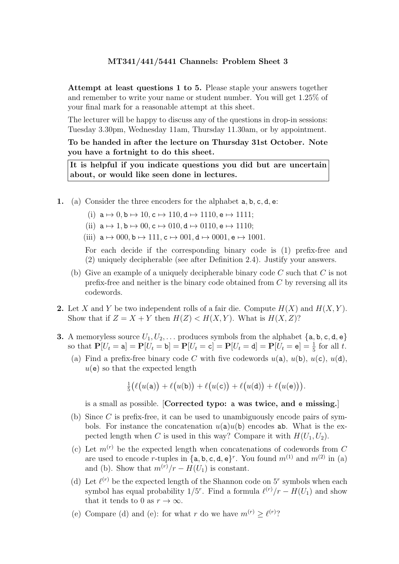Attempt at least questions 1 to 5. Please staple your answers together and remember to write your name or student number. You will get 1.25% of your final mark for a reasonable attempt at this sheet.

The lecturer will be happy to discuss any of the questions in drop-in sessions: Tuesday 3.30pm, Wednesday 11am, Thursday 11.30am, or by appointment.

To be handed in after the lecture on Thursday 31st October. Note you have a fortnight to do this sheet.

It is helpful if you indicate questions you did but are uncertain about, or would like seen done in lectures.

1. (a) Consider the three encoders for the alphabet a, b, c, d, e:

(i) 
$$
\mathbf{a} \mapsto 0, \mathbf{b} \mapsto 10, \mathbf{c} \mapsto 110, \mathbf{d} \mapsto 1110, \mathbf{e} \mapsto 1111;
$$

- (ii)  $a \mapsto 1$ ,  $b \mapsto 00$ ,  $c \mapsto 010$ ,  $d \mapsto 0110$ ,  $e \mapsto 1110$ ;
- (iii)  $a \mapsto 000$ ,  $b \mapsto 111$ ,  $c \mapsto 001$ ,  $d \mapsto 0001$ ,  $e \mapsto 1001$ .

For each decide if the corresponding binary code is (1) prefix-free and (2) uniquely decipherable (see after Definition 2.4). Justify your answers.

- (b) Give an example of a uniquely decipherable binary code  $C$  such that  $C$  is not prefix-free and neither is the binary code obtained from C by reversing all its codewords.
- **2.** Let X and Y be two independent rolls of a fair die. Compute  $H(X)$  and  $H(X, Y)$ . Show that if  $Z = X + Y$  then  $H(Z) < H(X, Y)$ . What is  $H(X, Z)$ ?
- **3.** A memoryless source  $U_1, U_2, \ldots$  produces symbols from the alphabet  $\{a, b, c, d, e\}$ so that  $P[U_t = a] = P[U_t = b] = P[U_t = c] = P[U_t = d] = P[U_t = e] = \frac{1}{5}$  for all t.
	- (a) Find a prefix-free binary code C with five codewords  $u(\mathsf{a})$ ,  $u(\mathsf{b})$ ,  $u(\mathsf{c})$ ,  $u(\mathsf{d})$ ,  $u(e)$  so that the expected length

$$
\tfrac{1}{5}\big(\ell\big(u(\mathtt{a})\big)+\ell\big(u(\mathtt{b})\big)+\ell\big(u(\mathtt{c})\big)+\ell\big(u(\mathtt{d})\big)+\ell\big(u(\mathtt{e})\big)\big).
$$

is a small as possible. [Corrected typo: a was twice, and e missing.]

- (b) Since C is prefix-free, it can be used to unambiguously encode pairs of symbols. For instance the concatenation  $u(\texttt{a})u(\texttt{b})$  encodes ab. What is the expected length when C is used in this way? Compare it with  $H(U_1, U_2)$ .
- (c) Let  $m^{(r)}$  be the expected length when concatenations of codewords from C are used to encode r-tuples in  $\{a, b, c, d, e\}^r$ . You found  $m^{(1)}$  and  $m^{(2)}$  in (a) and (b). Show that  $m^{(r)}/r - H(U_1)$  is constant.
- (d) Let  $\ell^{(r)}$  be the expected length of the Shannon code on 5<sup>r</sup> symbols when each symbol has equal probability  $1/5^r$ . Find a formula  $\ell^{(r)}/r - H(U_1)$  and show that it tends to 0 as  $r \to \infty$ .
- (e) Compare (d) and (e): for what r do we have  $m^{(r)} \ge \ell^{(r)}$ ?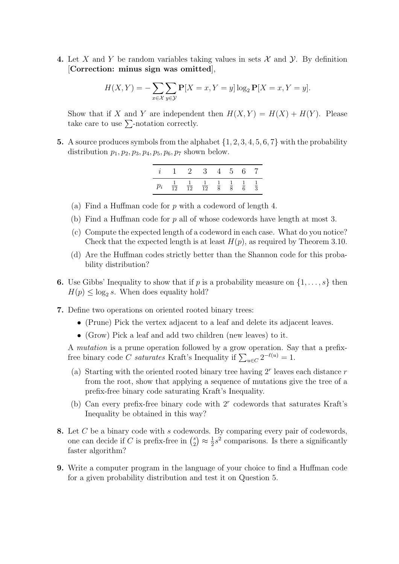4. Let X and Y be random variables taking values in sets  $\mathcal X$  and  $\mathcal Y$ . By definition [Correction: minus sign was omitted],

$$
H(X,Y) = -\sum_{x \in \mathcal{X}} \sum_{y \in \mathcal{Y}} \mathbf{P}[X=x, Y=y] \log_2 \mathbf{P}[X=x, Y=y].
$$

Show that if X and Y are independent then  $H(X, Y) = H(X) + H(Y)$ . Please take care to use  $\sum$ -notation correctly.

5. A source produces symbols from the alphabet  $\{1, 2, 3, 4, 5, 6, 7\}$  with the probability distribution  $p_1$ ,  $p_2$ ,  $p_3$ ,  $p_4$ ,  $p_5$ ,  $p_6$ ,  $p_7$  shown below.

| $\sim 1$       | $\mathbf{2}$   | - 3-           | $\overline{4}$              | $5^{\circ}$ | ნ. |               |
|----------------|----------------|----------------|-----------------------------|-------------|----|---------------|
| $\frac{1}{12}$ | $\frac{1}{12}$ | $\frac{1}{12}$ | $\frac{1}{8}$ $\frac{1}{8}$ |             |    | $\frac{1}{3}$ |

- (a) Find a Huffman code for p with a codeword of length 4.
- (b) Find a Huffman code for p all of whose codewords have length at most 3.
- (c) Compute the expected length of a codeword in each case. What do you notice? Check that the expected length is at least  $H(p)$ , as required by Theorem 3.10.
- (d) Are the Huffman codes strictly better than the Shannon code for this probability distribution?
- **6.** Use Gibbs' Inequality to show that if p is a probability measure on  $\{1, \ldots, s\}$  then  $H(p) \leq \log_2 s$ . When does equality hold?
- 7. Define two operations on oriented rooted binary trees:
	- (Prune) Pick the vertex adjacent to a leaf and delete its adjacent leaves.
	- (Grow) Pick a leaf and add two children (new leaves) to it.

A mutation is a prune operation followed by a grow operation. Say that a prefixfree binary code C saturates Kraft's Inequality if  $\sum_{u \in C} 2^{-\ell(u)} = 1$ .

- (a) Starting with the oriented rooted binary tree having  $2<sup>r</sup>$  leaves each distance r from the root, show that applying a sequence of mutations give the tree of a prefix-free binary code saturating Kraft's Inequality.
- (b) Can every prefix-free binary code with  $2<sup>r</sup>$  codewords that saturates Kraft's Inequality be obtained in this way?
- 8. Let C be a binary code with s codewords. By comparing every pair of codewords, one can decide if C is prefix-free in  $\binom{s}{2}$  $\binom{s}{2} \approx \frac{1}{2}$  $\frac{1}{2}s^2$  comparisons. Is there a significantly faster algorithm?
- 9. Write a computer program in the language of your choice to find a Huffman code for a given probability distribution and test it on Question 5.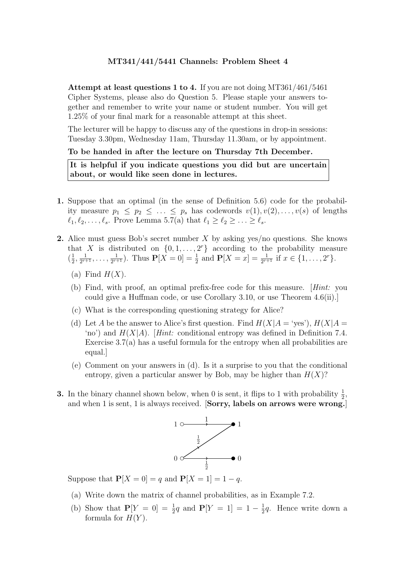Attempt at least questions 1 to 4. If you are not doing MT361/461/5461 Cipher Systems, please also do Question 5. Please staple your answers together and remember to write your name or student number. You will get 1.25% of your final mark for a reasonable attempt at this sheet.

The lecturer will be happy to discuss any of the questions in drop-in sessions: Tuesday 3.30pm, Wednesday 11am, Thursday 11.30am, or by appointment.

#### To be handed in after the lecture on Thursday 7th December.

It is helpful if you indicate questions you did but are uncertain about, or would like seen done in lectures.

- 1. Suppose that an optimal (in the sense of Definition 5.6) code for the probability measure  $p_1 \leq p_2 \leq \ldots \leq p_s$  has codewords  $v(1), v(2), \ldots, v(s)$  of lengths  $\ell_1, \ell_2, \ldots, \ell_s$ . Prove Lemma 5.7(a) that  $\ell_1 \geq \ell_2 \geq \ldots \geq \ell_s$ .
- **2.** Alice must guess Bob's secret number X by asking yes/no questions. She knows that X is distributed on  $\{0, 1, \ldots, 2^r\}$  according to the probability measure  $\left(\frac{1}{2}\right)$  $\frac{1}{2}, \frac{1}{2^{r+1}}$  $\frac{1}{2^{r+1}}, \ldots, \frac{1}{2^{r+1}}$  $\frac{1}{2^{r+1}}$ ). Thus  $\mathbf{P}[X=0] = \frac{1}{2}$  and  $\mathbf{P}[X=x] = \frac{1}{2^{r+1}}$  if  $x \in \{1, \ldots, 2^r\}$ .
	- (a) Find  $H(X)$ .
	- (b) Find, with proof, an optimal prefix-free code for this measure. [Hint: you could give a Huffman code, or use Corollary 3.10, or use Theorem 4.6(ii).]
	- (c) What is the corresponding questioning strategy for Alice?
	- (d) Let A be the answer to Alice's first question. Find  $H(X|A = 'yes')$ ,  $H(X|A = 'yes')$ 'no') and  $H(X|A)$ . [Hint: conditional entropy was defined in Definition 7.4. Exercise  $3.7(a)$  has a useful formula for the entropy when all probabilities are equal.]
	- (e) Comment on your answers in (d). Is it a surprise to you that the conditional entropy, given a particular answer by Bob, may be higher than  $H(X)$ ?
- **3.** In the binary channel shown below, when 0 is sent, it flips to 1 with probability  $\frac{1}{2}$ , and when 1 is sent, 1 is always received. [Sorry, labels on arrows were wrong.]



Suppose that  $P[X = 0] = q$  and  $P[X = 1] = 1 - q$ .

- (a) Write down the matrix of channel probabilities, as in Example 7.2.
- (b) Show that  $P[Y = 0] = \frac{1}{2}q$  and  $P[Y = 1] = 1 \frac{1}{2}$  $\frac{1}{2}q$ . Hence write down a formula for  $H(Y)$ .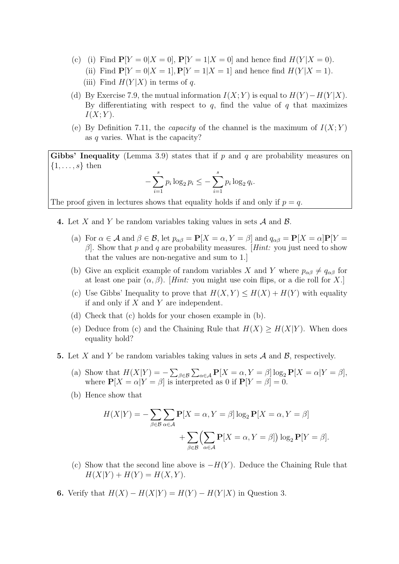- (c) (i) Find  $P[Y = 0|X = 0]$ ,  $P[Y = 1|X = 0]$  and hence find  $H(Y|X = 0)$ .
	- (ii) Find  $P[Y = 0|X = 1], P[Y = 1|X = 1]$  and hence find  $H(Y|X = 1)$ .
	- (iii) Find  $H(Y|X)$  in terms of q.
- (d) By Exercise 7.9, the mutual information  $I(X; Y)$  is equal to  $H(Y) H(Y | X)$ . By differentiating with respect to  $q$ , find the value of  $q$  that maximizes  $I(X;Y)$ .
- (e) By Definition 7.11, the *capacity* of the channel is the maximum of  $I(X; Y)$ as q varies. What is the capacity?

Gibbs' Inequality (Lemma 3.9) states that if  $p$  and  $q$  are probability measures on  $\{1, \ldots, s\}$  then

$$
-\sum_{i=1}^{s} p_i \log_2 p_i \leq -\sum_{i=1}^{s} p_i \log_2 q_i.
$$

The proof given in lectures shows that equality holds if and only if  $p = q$ .

- **4.** Let X and Y be random variables taking values in sets  $\mathcal A$  and  $\mathcal B$ .
	- (a) For  $\alpha \in \mathcal{A}$  and  $\beta \in \mathcal{B}$ , let  $p_{\alpha\beta} = \mathbf{P}[X = \alpha, Y = \beta]$  and  $q_{\alpha\beta} = \mathbf{P}[X = \alpha] \mathbf{P}[Y = \alpha]$  $\beta$ . Show that p and q are probability measures. [Hint: you just need to show that the values are non-negative and sum to 1.]
	- (b) Give an explicit example of random variables X and Y where  $p_{\alpha\beta} \neq q_{\alpha\beta}$  for at least one pair  $(\alpha, \beta)$ . [Hint: you might use coin flips, or a die roll for X.]
	- (c) Use Gibbs' Inequality to prove that  $H(X, Y) \le H(X) + H(Y)$  with equality if and only if  $X$  and  $Y$  are independent.
	- (d) Check that (c) holds for your chosen example in (b).
	- (e) Deduce from (c) and the Chaining Rule that  $H(X) \ge H(X|Y)$ . When does equality hold?
- **5.** Let X and Y be random variables taking values in sets  $\mathcal A$  and  $\mathcal B$ , respectively.
	- (a) Show that  $H(X|Y) = -\sum_{\beta \in \mathcal{B}} \sum_{\alpha \in \mathcal{A}} P[X = \alpha, Y = \beta] \log_2 P[X = \alpha | Y = \beta],$ where  $P[X = \alpha | Y = \beta]$  is interpreted as 0 if  $P[Y = \beta] = 0$ .
	- (b) Hence show that

$$
H(X|Y) = -\sum_{\beta \in \mathcal{B}} \sum_{\alpha \in \mathcal{A}} \mathbf{P}[X = \alpha, Y = \beta] \log_2 \mathbf{P}[X = \alpha, Y = \beta]
$$

$$
+ \sum_{\beta \in \mathcal{B}} \left( \sum_{\alpha \in \mathcal{A}} \mathbf{P}[X = \alpha, Y = \beta] \right) \log_2 \mathbf{P}[Y = \beta].
$$

- (c) Show that the second line above is  $-H(Y)$ . Deduce the Chaining Rule that  $H(X|Y) + H(Y) = H(X, Y).$
- 6. Verify that  $H(X) H(X|Y) = H(Y) H(Y|X)$  in Question 3.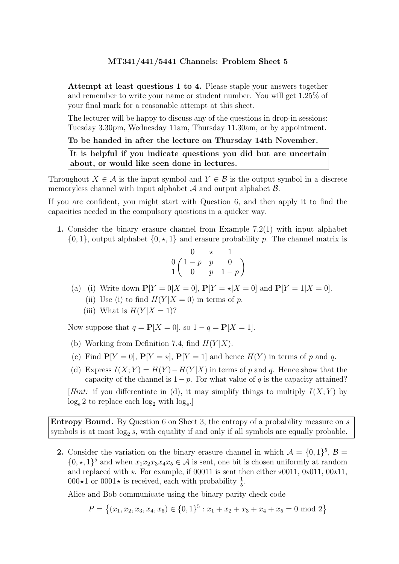Attempt at least questions 1 to 4. Please staple your answers together and remember to write your name or student number. You will get 1.25% of your final mark for a reasonable attempt at this sheet.

The lecturer will be happy to discuss any of the questions in drop-in sessions: Tuesday 3.30pm, Wednesday 11am, Thursday 11.30am, or by appointment.

### To be handed in after the lecture on Thursday 14th November.

It is helpful if you indicate questions you did but are uncertain about, or would like seen done in lectures.

Throughout  $X \in \mathcal{A}$  is the input symbol and  $Y \in \mathcal{B}$  is the output symbol in a discrete memoryless channel with input alphabet  $A$  and output alphabet  $B$ .

If you are confident, you might start with Question 6, and then apply it to find the capacities needed in the compulsory questions in a quicker way.

1. Consider the binary erasure channel from Example 7.2(1) with input alphabet  $\{0, 1\}$ , output alphabet  $\{0, \star, 1\}$  and erasure probability p. The channel matrix is

$$
\begin{array}{ccc}\n0 & \star & 1 \\
0 & \{-p & p & 0 \\
1 & 0 & p & 1-p\n\end{array}
$$

- (a) (i) Write down  $P[Y = 0 | X = 0], P[Y = \star | X = 0]$  and  $P[Y = 1 | X = 0].$ 
	- (ii) Use (i) to find  $H(Y|X=0)$  in terms of p.
	- (iii) What is  $H(Y|X = 1)$ ?

Now suppose that  $q = P[X = 0]$ , so  $1 - q = P[X = 1]$ .

- (b) Working from Definition 7.4, find  $H(Y|X)$ .
- (c) Find  $P[Y = 0]$ ,  $P[Y = \star]$ ,  $P[Y = 1]$  and hence  $H(Y)$  in terms of p and q.
- (d) Express  $I(X; Y) = H(Y) H(Y|X)$  in terms of p and q. Hence show that the capacity of the channel is  $1 - p$ . For what value of q is the capacity attained?

[Hint: if you differentiate in (d), it may simplify things to multiply  $I(X; Y)$  by  $log_e 2$  to replace each  $log_2$  with  $log_e$ .

Entropy Bound. By Question 6 on Sheet 3, the entropy of a probability measure on s symbols is at most  $log_2 s$ , with equality if and only if all symbols are equally probable.

2. Consider the variation on the binary erasure channel in which  $\mathcal{A} = \{0, 1\}^5$ ,  $\mathcal{B} =$  $\{0, \star, 1\}^5$  and when  $x_1x_2x_3x_4x_5 \in \mathcal{A}$  is sent, one bit is chosen uniformly at random and replaced with  $\star$ . For example, if 00011 is sent then either  $\star$ 0011, 0 $\star$ 011, 00 $\star$ 11,  $000*1$  or  $0001*$  is received, each with probability  $\frac{1}{5}$ .

Alice and Bob communicate using the binary parity check code

$$
P = \left\{ (x_1, x_2, x_3, x_4, x_5) \in \{0, 1\}^5 : x_1 + x_2 + x_3 + x_4 + x_5 = 0 \text{ mod } 2 \right\}
$$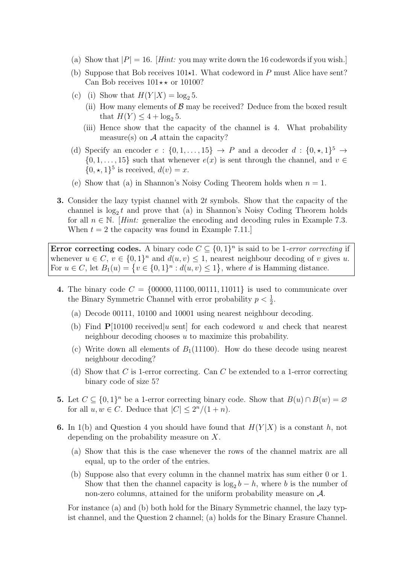- (a) Show that  $|P| = 16$ . [Hint: you may write down the 16 codewords if you wish.]
- (b) Suppose that Bob receives  $101 \star 1$ . What codeword in P must Alice have sent? Can Bob receives  $101 \star \star$  or 10100?
- (c) (i) Show that  $H(Y|X) = \log_2 5$ .
	- (ii) How many elements of  $\beta$  may be received? Deduce from the boxed result that  $H(Y) \leq 4 + \log_2 5$ .
	- (iii) Hence show that the capacity of the channel is 4. What probability measure(s) on  $A$  attain the capacity?
- (d) Specify an encoder  $e: \{0, 1, ..., 15\} \rightarrow P$  and a decoder  $d: \{0, \star, 1\}^5 \rightarrow$  $\{0, 1, \ldots, 15\}$  such that whenever  $e(x)$  is sent through the channel, and  $v \in$  $\{0, \star, 1\}^5$  is received,  $d(v) = x$ .
- (e) Show that (a) in Shannon's Noisy Coding Theorem holds when  $n = 1$ .
- 3. Consider the lazy typist channel with 2t symbols. Show that the capacity of the channel is  $log_2 t$  and prove that (a) in Shannon's Noisy Coding Theorem holds for all  $n \in \mathbb{N}$ . [Hint: generalize the encoding and decoding rules in Example 7.3. When  $t = 2$  the capacity was found in Example 7.11.

Error correcting codes. A binary code  $C \subseteq \{0,1\}^n$  is said to be 1-error correcting if whenever  $u \in C$ ,  $v \in \{0,1\}^n$  and  $d(u, v) \leq 1$ , nearest neighbour decoding of v gives u. For  $u \in C$ , let  $B_1(u) = \{v \in \{0,1\}^n : d(u,v) \leq 1\}$ , where d is Hamming distance.

- 4. The binary code  $C = \{00000, 11100, 00111, 11011\}$  is used to communicate over the Binary Symmetric Channel with error probability  $p < \frac{1}{2}$ .
	- (a) Decode 00111, 10100 and 10001 using nearest neighbour decoding.
	- (b) Find  $P[10100$  received u sent for each codeword u and check that nearest neighbour decoding chooses  $u$  to maximize this probability.
	- (c) Write down all elements of  $B_1(11100)$ . How do these decode using nearest neighbour decoding?
	- (d) Show that C is 1-error correcting. Can C be extended to a 1-error correcting binary code of size 5?
- **5.** Let  $C \subseteq \{0,1\}^n$  be a 1-error correcting binary code. Show that  $B(u) \cap B(w) = \emptyset$ for all  $u, w \in C$ . Deduce that  $|C| \leq 2^n/(1+n)$ .
- **6.** In 1(b) and Question 4 you should have found that  $H(Y|X)$  is a constant h, not depending on the probability measure on X.
	- (a) Show that this is the case whenever the rows of the channel matrix are all equal, up to the order of the entries.
	- (b) Suppose also that every column in the channel matrix has sum either 0 or 1. Show that then the channel capacity is  $\log_2 b - h$ , where b is the number of non-zero columns, attained for the uniform probability measure on  $\mathcal{A}$ .

For instance (a) and (b) both hold for the Binary Symmetric channel, the lazy typist channel, and the Question 2 channel; (a) holds for the Binary Erasure Channel.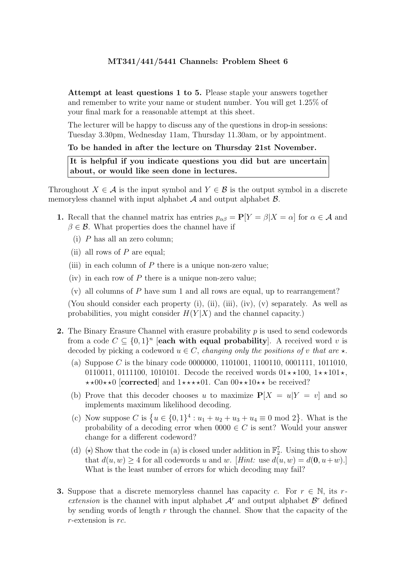Attempt at least questions 1 to 5. Please staple your answers together and remember to write your name or student number. You will get 1.25% of your final mark for a reasonable attempt at this sheet.

The lecturer will be happy to discuss any of the questions in drop-in sessions: Tuesday 3.30pm, Wednesday 11am, Thursday 11.30am, or by appointment.

### To be handed in after the lecture on Thursday 21st November.

It is helpful if you indicate questions you did but are uncertain about, or would like seen done in lectures.

Throughout  $X \in \mathcal{A}$  is the input symbol and  $Y \in \mathcal{B}$  is the output symbol in a discrete memoryless channel with input alphabet  $A$  and output alphabet  $B$ .

- 1. Recall that the channel matrix has entries  $p_{\alpha\beta} = P[Y = \beta | X = \alpha]$  for  $\alpha \in \mathcal{A}$  and  $\beta \in \mathcal{B}$ . What properties does the channel have if
	- (i) P has all an zero column;
	- (ii) all rows of  $P$  are equal;
	- (iii) in each column of  $P$  there is a unique non-zero value;
	- (iv) in each row of  $P$  there is a unique non-zero value;
	- $(v)$  all columns of P have sum 1 and all rows are equal, up to rearrangement?

(You should consider each property (i), (ii), (iii), (iv), (v) separately. As well as probabilities, you might consider  $H(Y|X)$  and the channel capacity.)

- 2. The Binary Erasure Channel with erasure probability p is used to send codewords from a code  $C \subseteq \{0,1\}^n$  [each with equal probability]. A received word v is decoded by picking a codeword  $u \in C$ , *changing only the positions of v that are*  $\star$ .
	- (a) Suppose C is the binary code 0000000, 1101001, 1100110, 0001111, 1011010, 0110011, 0111100, 1010101. Decode the received words  $01 \star \star 100$ ,  $1 \star \star 101 \star$ ,  $\star\star00\star\star0$  [corrected] and  $1\star\star\star\star01$ . Can  $00\star\star10\star\star$  be received?
	- (b) Prove that this decoder chooses u to maximize  $P[X = u|Y = v]$  and so implements maximum likelihood decoding.
	- (c) Now suppose C is  $\{u \in \{0,1\}^4 : u_1 + u_2 + u_3 + u_4 \equiv 0 \mod 2\}$ . What is the probability of a decoding error when  $0000 \in C$  is sent? Would your answer change for a different codeword?
	- (d)  $(\star)$  Show that the code in (a) is closed under addition in  $\mathbb{F}_2^7$ . Using this to show that  $d(u, w) > 4$  for all codewords u and w. [Hint: use  $d(u, w) = d(0, u+w)$ .] What is the least number of errors for which decoding may fail?
- **3.** Suppose that a discrete memoryless channel has capacity c. For  $r \in \mathbb{N}$ , its rextension is the channel with input alphabet  $\mathcal{A}^r$  and output alphabet  $\mathcal{B}^r$  defined by sending words of length r through the channel. Show that the capacity of the  $r$ -extension is  $rc$ .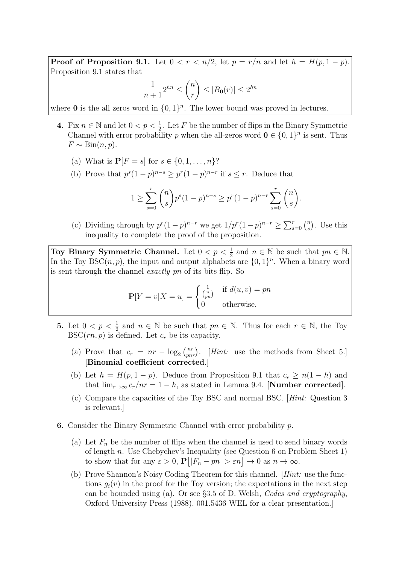**Proof of Proposition 9.1.** Let  $0 < r < n/2$ , let  $p = r/n$  and let  $h = H(p, 1 - p)$ . Proposition 9.1 states that

$$
\frac{1}{n+1}2^{hn} \le \binom{n}{r} \le |B_{\mathbf{0}}(r)| \le 2^{hn}
$$

where **0** is the all zeros word in  $\{0, 1\}^n$ . The lower bound was proved in lectures.

- 4. Fix  $n \in \mathbb{N}$  and let  $0 < p < \frac{1}{2}$ . Let F be the number of flips in the Binary Symmetric Channel with error probability p when the all-zeros word  $\mathbf{0} \in \{0,1\}^n$  is sent. Thus  $F \sim \text{Bin}(n, p)$ .
	- (a) What is  $P[F = s]$  for  $s \in \{0, 1, ..., n\}$ ?
	- (b) Prove that  $p^{s}(1-p)^{n-s} \geq p^{r}(1-p)^{n-r}$  if  $s \leq r$ . Deduce that

$$
1 \ge \sum_{s=0}^r \binom{n}{s} p^s (1-p)^{n-s} \ge p^r (1-p)^{n-r} \sum_{s=0}^r \binom{n}{s}.
$$

(c) Dividing through by  $p^r(1-p)^{n-r}$  we get  $1/p^r(1-p)^{n-r} \ge \sum_{s=0}^r {n \choose s}$  $\binom{n}{s}$ . Use this inequality to complete the proof of the proposition.

Toy Binary Symmetric Channel. Let  $0 < p < \frac{1}{2}$  and  $n \in \mathbb{N}$  be such that  $pn \in \mathbb{N}$ . In the Toy BSC $(n, p)$ , the input and output alphabets are  $\{0, 1\}^n$ . When a binary word is sent through the channel exactly pn of its bits flip. So

$$
\mathbf{P}[Y = v | X = u] = \begin{cases} \frac{1}{\binom{n}{pn}} & \text{if } d(u, v) = pn \\ 0 & \text{otherwise.} \end{cases}
$$

- 5. Let  $0 < p < \frac{1}{2}$  and  $n \in \mathbb{N}$  be such that  $pn \in \mathbb{N}$ . Thus for each  $r \in \mathbb{N}$ , the Toy  $BSC(rn, p)$  is defined. Let  $c_r$  be its capacity.
	- (a) Prove that  $c_r = nr \log_2 {nr \choose pn r}$ . [*Hint:* use the methods from Sheet 5.] [Binomial coefficient corrected.]
	- (b) Let  $h = H(p, 1 p)$ . Deduce from Proposition 9.1 that  $c_r \geq n(1 h)$  and that  $\lim_{r\to\infty} c_r/nr = 1 - h$ , as stated in Lemma 9.4. [**Number corrected**].
	- (c) Compare the capacities of the Toy BSC and normal BSC. [Hint: Question 3 is relevant.]
- 6. Consider the Binary Symmetric Channel with error probability p.
	- (a) Let  $F_n$  be the number of flips when the channel is used to send binary words of length n. Use Chebychev's Inequality (see Question 6 on Problem Sheet 1) to show that for any  $\varepsilon > 0$ ,  $\mathbf{P}\big[|F_n - pn| > \varepsilon n\big] \to 0$  as  $n \to \infty$ .
	- (b) Prove Shannon's Noisy Coding Theorem for this channel. [Hint: use the functions  $g_i(v)$  in the proof for the Toy version; the expectations in the next step can be bounded using (a). Or see §3.5 of D. Welsh, Codes and cryptography, Oxford University Press (1988), 001.5436 WEL for a clear presentation.]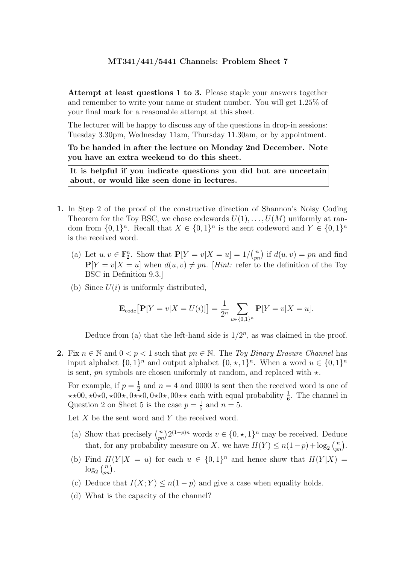Attempt at least questions 1 to 3. Please staple your answers together and remember to write your name or student number. You will get 1.25% of your final mark for a reasonable attempt at this sheet.

The lecturer will be happy to discuss any of the questions in drop-in sessions: Tuesday 3.30pm, Wednesday 11am, Thursday 11.30am, or by appointment.

To be handed in after the lecture on Monday 2nd December. Note you have an extra weekend to do this sheet.

It is helpful if you indicate questions you did but are uncertain about, or would like seen done in lectures.

- 1. In Step 2 of the proof of the constructive direction of Shannon's Noisy Coding Theorem for the Toy BSC, we chose codewords  $U(1), \ldots, U(M)$  uniformly at random from  $\{0,1\}^n$ . Recall that  $X \in \{0,1\}^n$  is the sent codeword and  $Y \in \{0,1\}^n$ is the received word.
	- (a) Let  $u, v \in \mathbb{F}_2^n$ . Show that  $\mathbf{P}[Y = v | X = u] = 1/\binom{n}{pn}$  if  $d(u, v) = pn$  and find  $P[Y = v | X = u]$  when  $d(u, v) \neq pn$ . [Hint: refer to the definition of the Toy BSC in Definition 9.3.]
	- (b) Since  $U(i)$  is uniformly distributed,

$$
\mathbf{E}_{\text{code}}[\mathbf{P}[Y = v | X = U(i)]] = \frac{1}{2^n} \sum_{u \in \{0,1\}^n} \mathbf{P}[Y = v | X = u].
$$

Deduce from (a) that the left-hand side is  $1/2^n$ , as was claimed in the proof.

2. Fix  $n \in \mathbb{N}$  and  $0 < p < 1$  such that  $pn \in \mathbb{N}$ . The Toy Binary Erasure Channel has input alphabet  $\{0,1\}^n$  and output alphabet  $\{0,\star,1\}^n$ . When a word  $u \in \{0,1\}^n$ is sent, pn symbols are chosen uniformly at random, and replaced with  $\star$ .

For example, if  $p=\frac{1}{2}$  $\frac{1}{2}$  and  $n = 4$  and 0000 is sent then the received word is one of  $\star\star 00, \star 0\star 0, \star 00\star, 0\star\star 0, 0\star 0\star, 00\star\star$  each with equal probability  $\frac{1}{6}$ . The channel in Question 2 on Sheet 5 is the case  $p = \frac{1}{5}$  $\frac{1}{5}$  and  $n = 5$ .

Let  $X$  be the sent word and  $Y$  the received word.

- (a) Show that precisely  $\binom{n}{pn} 2^{(1-p)n}$  words  $v \in \{0, \star, 1\}^n$  may be received. Deduce that, for any probability measure on X, we have  $H(Y) \le n(1-p) + \log_2 {\binom{n}{pn}}$ .
- (b) Find  $H(Y|X = u)$  for each  $u \in \{0,1\}^n$  and hence show that  $H(Y|X) =$  $\log_2\binom{n}{pn}.$
- (c) Deduce that  $I(X; Y) \leq n(1-p)$  and give a case when equality holds.
- (d) What is the capacity of the channel?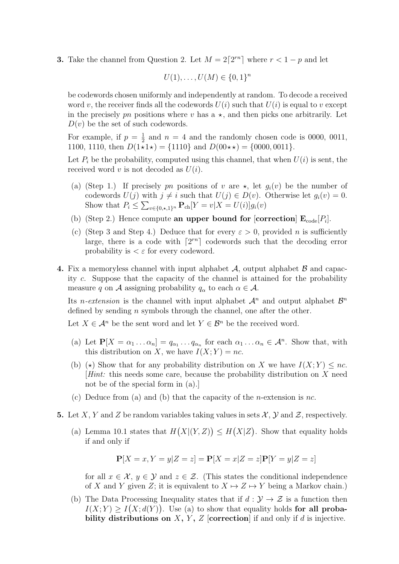**3.** Take the channel from Question 2. Let  $M = 2\lceil 2^{rn} \rceil$  where  $r < 1 - p$  and let

$$
U(1),..., U(M) \in \{0,1\}^n
$$

be codewords chosen uniformly and independently at random. To decode a received word v, the receiver finds all the codewords  $U(i)$  such that  $U(i)$  is equal to v except in the precisely pn positions where v has a  $\star$ , and then picks one arbitrarily. Let  $D(v)$  be the set of such codewords.

For example, if  $p = \frac{1}{2}$  $\frac{1}{2}$  and  $n = 4$  and the randomly chosen code is 0000, 0011, 1100, 1110, then  $D(1\star1\star) = \{1110\}$  and  $D(00\star\star) = \{0000, 0011\}.$ 

Let  $P_i$  be the probability, computed using this channel, that when  $U(i)$  is sent, the received word v is not decoded as  $U(i)$ .

- (a) (Step 1.) If precisely pn positions of v are  $\star$ , let  $g_i(v)$  be the number of codewords  $U(j)$  with  $j \neq i$  such that  $U(j) \in D(v)$ . Otherwise let  $g_i(v) = 0$ . Show that  $P_i \le \sum_{v \in \{0, \star, 1\}^n} \mathbf{P}_{\text{ch}}[Y = v | X = U(i)] g_i(v)$
- (b) (Step 2.) Hence compute an upper bound for [correction]  $\mathbf{E}_{code}[P_i]$ .
- (c) (Step 3 and Step 4.) Deduce that for every  $\varepsilon > 0$ , provided n is sufficiently large, there is a code with  $\lceil 2^{rn} \rceil$  codewords such that the decoding error probability is  $\epsilon \varepsilon$  for every codeword.
- 4. Fix a memoryless channel with input alphabet  $\mathcal{A}$ , output alphabet  $\mathcal{B}$  and capacity c. Suppose that the capacity of the channel is attained for the probability measure q on A assigning probability  $q_{\alpha}$  to each  $\alpha \in \mathcal{A}$ .

Its *n*-extension is the channel with input alphabet  $\mathcal{A}^n$  and output alphabet  $\mathcal{B}^n$ defined by sending  $n$  symbols through the channel, one after the other.

Let  $X \in \mathcal{A}^n$  be the sent word and let  $Y \in \mathcal{B}^n$  be the received word.

- (a) Let  $\mathbf{P}[X = \alpha_1 \dots \alpha_n] = q_{\alpha_1} \dots q_{\alpha_n}$  for each  $\alpha_1 \dots \alpha_n \in \mathcal{A}^n$ . Show that, with this distribution on X, we have  $I(X; Y) = nc$ .
- (b)  $(\star)$  Show that for any probability distribution on X we have  $I(X; Y) \leq nc$ . [Hint: this needs some care, because the probability distribution on X need not be of the special form in (a).]
- (c) Deduce from (a) and (b) that the capacity of the *n*-extension is *nc*.
- 5. Let X, Y and Z be random variables taking values in sets  $\mathcal{X}, \mathcal{Y}$  and  $\mathcal{Z}$ , respectively.
	- (a) Lemma 10.1 states that  $H(X|(Y,Z)) \leq H(X|Z)$ . Show that equality holds if and only if

$$
\mathbf{P}[X = x, Y = y | Z = z] = \mathbf{P}[X = x | Z = z] \mathbf{P}[Y = y | Z = z]
$$

for all  $x \in \mathcal{X}, y \in \mathcal{Y}$  and  $z \in \mathcal{Z}$ . (This states the conditional independence of X and Y given Z; it is equivalent to  $X \mapsto Z \mapsto Y$  being a Markov chain.)

(b) The Data Processing Inequality states that if  $d : \mathcal{Y} \to \mathcal{Z}$  is a function then  $I(X;Y) \geq I(X; d(Y))$ . Use (a) to show that equality holds for all probability distributions on  $X, Y, Z$  [correction] if and only if d is injective.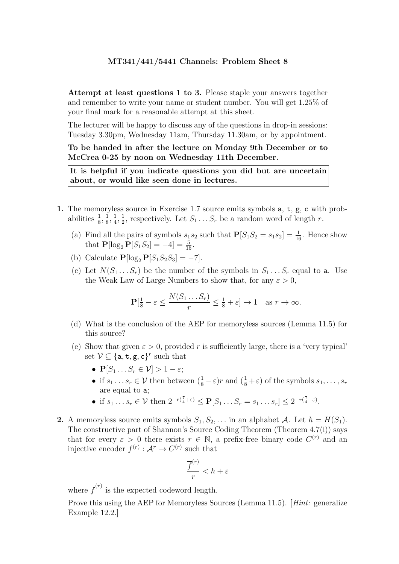Attempt at least questions 1 to 3. Please staple your answers together and remember to write your name or student number. You will get 1.25% of your final mark for a reasonable attempt at this sheet.

The lecturer will be happy to discuss any of the questions in drop-in sessions: Tuesday 3.30pm, Wednesday 11am, Thursday 11.30am, or by appointment.

To be handed in after the lecture on Monday 9th December or to McCrea 0-25 by noon on Wednesday 11th December.

It is helpful if you indicate questions you did but are uncertain about, or would like seen done in lectures.

- 1. The memoryless source in Exercise 1.7 source emits symbols a, t, g, c with probabilities  $\frac{1}{8}, \frac{1}{8}$  $\frac{1}{8}, \frac{1}{4}$  $\frac{1}{4}, \frac{1}{2}$  $\frac{1}{2}$ , respectively. Let  $S_1 \ldots S_r$  be a random word of length r.
	- (a) Find all the pairs of symbols  $s_1 s_2$  such that  $P[S_1 S_2 = s_1 s_2] = \frac{1}{16}$ . Hence show that  $P[\log_2 P[S_1S_2] = -4] = \frac{5}{16}$ .
	- (b) Calculate  $\mathbf{P}[\log_2 \mathbf{P}[S_1S_2S_3] = -7]$ .
	- (c) Let  $N(S_1 \ldots S_r)$  be the number of the symbols in  $S_1 \ldots S_r$  equal to a. Use the Weak Law of Large Numbers to show that, for any  $\varepsilon > 0$ ,

$$
\mathbf{P}[\frac{1}{8} - \varepsilon \le \frac{N(S_1 \dots S_r)}{r} \le \frac{1}{8} + \varepsilon] \to 1 \quad \text{as } r \to \infty.
$$

- (d) What is the conclusion of the AEP for memoryless sources (Lemma 11.5) for this source?
- (e) Show that given  $\varepsilon > 0$ , provided r is sufficiently large, there is a 'very typical' set  $V \subseteq \{a, t, g, c\}^r$  such that
	- $\mathbf{P}[S_1 \dots S_r \in \mathcal{V}] > 1 \varepsilon;$
	- if  $s_1 \ldots s_r \in V$  then between  $(\frac{1}{8} \varepsilon)r$  and  $(\frac{1}{8} + \varepsilon)$  of the symbols  $s_1, \ldots, s_r$ are equal to a;
	- if  $s_1 \dots s_r \in \mathcal{V}$  then  $2^{-r(\frac{7}{4}+\varepsilon)} \leq \mathbf{P}[S_1 \dots S_r = s_1 \dots s_r] \leq 2^{-r(\frac{7}{4}-\varepsilon)}$ .
- 2. A memoryless source emits symbols  $S_1, S_2, \ldots$  in an alphabet A. Let  $h = H(S_1)$ . The constructive part of Shannon's Source Coding Theorem (Theorem 4.7(i)) says that for every  $\varepsilon > 0$  there exists  $r \in \mathbb{N}$ , a prefix-free binary code  $C^{(r)}$  and an injective encoder  $f^{(r)} : \mathcal{A}^r \to C^{(r)}$  such that

$$
\frac{\overline{f}^{(r)}}{r} < h + \varepsilon
$$

where  $\overline{f}^{(r)}$  is the expected codeword length.

Prove this using the AEP for Memoryless Sources (Lemma 11.5). [Hint: generalize Example 12.2.]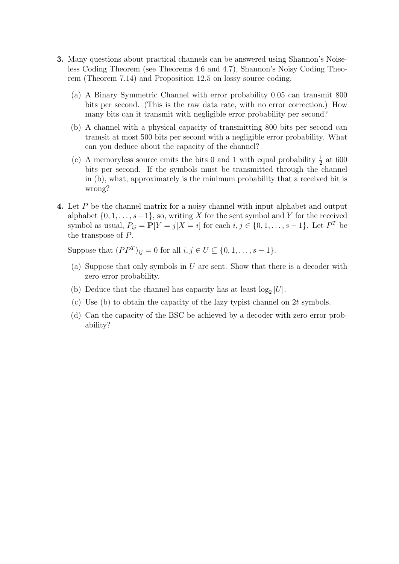- 3. Many questions about practical channels can be answered using Shannon's Noiseless Coding Theorem (see Theorems 4.6 and 4.7), Shannon's Noisy Coding Theorem (Theorem 7.14) and Proposition 12.5 on lossy source coding.
	- (a) A Binary Symmetric Channel with error probability 0.05 can transmit 800 bits per second. (This is the raw data rate, with no error correction.) How many bits can it transmit with negligible error probability per second?
	- (b) A channel with a physical capacity of transmitting 800 bits per second can tramsit at most 500 bits per second with a negligible error probability. What can you deduce about the capacity of the channel?
	- (c) A memoryless source emits the bits 0 and 1 with equal probability  $\frac{1}{2}$  at 600 bits per second. If the symbols must be transmitted through the channel in (b), what, approximately is the minimum probability that a received bit is wrong?
- 4. Let P be the channel matrix for a noisy channel with input alphabet and output alphabet  $\{0, 1, \ldots, s-1\}$ , so, writing X for the sent symbol and Y for the received symbol as usual,  $P_{ij} = \mathbf{P}[Y = j | X = i]$  for each  $i, j \in \{0, 1, \ldots, s - 1\}$ . Let  $P^T$  be the transpose of P.

Suppose that  $(PP^{T})_{ij} = 0$  for all  $i, j \in U \subseteq \{0, 1, ..., s - 1\}.$ 

- (a) Suppose that only symbols in U are sent. Show that there is a decoder with zero error probability.
- (b) Deduce that the channel has capacity has at least  $log_2|U|$ .
- (c) Use (b) to obtain the capacity of the lazy typist channel on 2t symbols.
- (d) Can the capacity of the BSC be achieved by a decoder with zero error probability?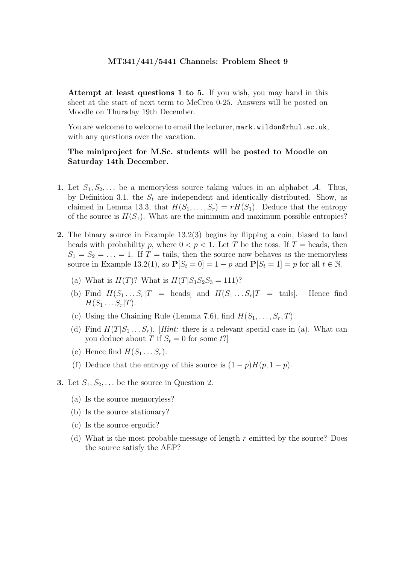Attempt at least questions 1 to 5. If you wish, you may hand in this sheet at the start of next term to McCrea 0-25. Answers will be posted on Moodle on Thursday 19th December.

You are welcome to welcome to email the lecturer, mark.wildon@rhul.ac.uk, with any questions over the vacation.

# The miniproject for M.Sc. students will be posted to Moodle on Saturday 14th December.

- 1. Let  $S_1, S_2, \ldots$  be a memoryless source taking values in an alphabet A. Thus, by Definition 3.1, the  $S_t$  are independent and identically distributed. Show, as claimed in Lemma 13.3, that  $H(S_1, \ldots, S_r) = rH(S_1)$ . Deduce that the entropy of the source is  $H(S_1)$ . What are the minimum and maximum possible entropies?
- 2. The binary source in Example 13.2(3) begins by flipping a coin, biased to land heads with probability p, where  $0 < p < 1$ . Let T be the toss. If T = heads, then  $S_1 = S_2 = \ldots = 1$ . If  $T =$  tails, then the source now behaves as the memoryless source in Example 13.2(1), so  $P[S_t = 0] = 1 - p$  and  $P[S_t = 1] = p$  for all  $t \in \mathbb{N}$ .
	- (a) What is  $H(T)$ ? What is  $H(T|S_1S_2S_3 = 111)$ ?
	- (b) Find  $H(S_1 \ldots S_r | T = \text{heads}$  and  $H(S_1 \ldots S_r | T = \text{tails}].$  Hence find  $H(S_1 \ldots S_r | T).$
	- (c) Using the Chaining Rule (Lemma 7.6), find  $H(S_1, \ldots, S_r, T)$ .
	- (d) Find  $H(T|S_1 \ldots S_r)$ . [Hint: there is a relevant special case in (a). What can you deduce about T if  $S_t = 0$  for some t?
	- (e) Hence find  $H(S_1 \ldots S_r)$ .
	- (f) Deduce that the entropy of this source is  $(1 p)H(p, 1 p)$ .
- **3.** Let  $S_1, S_2, \ldots$  be the source in Question 2.
	- (a) Is the source memoryless?
	- (b) Is the source stationary?
	- (c) Is the source ergodic?
	- (d) What is the most probable message of length  $r$  emitted by the source? Does the source satisfy the AEP?